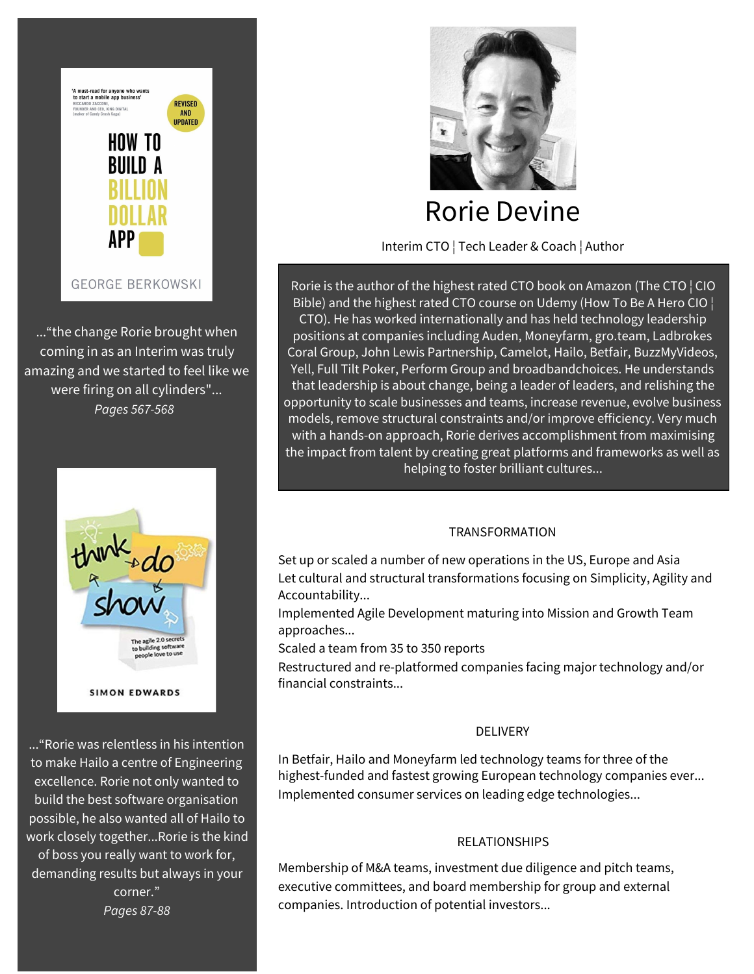

..."the change Rorie brought when coming in as an Interim was truly amazing and we started to feel like we were firing on all cylinders"... *Pages 567-568*



..."Rorie was relentless in his intention to make Hailo a centre of Engineering excellence. Rorie not only wanted to build the best software organisation possible, he also wanted all of Hailo to work closely together...Rorie is the kind of boss you really want to work for, demanding results but always in your corner." *Pages 87-88*



# Rorie Devine

Interim CTO ¦ Tech Leader & Coach ¦ Author

Rorie is the author of the highest rated CTO book on Amazon (The CTO ¦ CIO Bible) and the highest rated CTO course on Udemy (How To Be A Hero CIO ¦ CTO). He has worked internationally and has held technology leadership positions at companies including Auden, Moneyfarm, gro.team, Ladbrokes Coral Group, John Lewis Partnership, Camelot, Hailo, Betfair, BuzzMyVideos, Yell, Full Tilt Poker, Perform Group and broadbandchoices. He understands that leadership is about change, being a leader of leaders, and relishing the opportunity to scale businesses and teams, increase revenue, evolve business models, remove structural constraints and/or improve efficiency. Very much with a hands-on approach, Rorie derives accomplishment from maximising the impact from talent by creating great platforms and frameworks as well as helping to foster brilliant cultures...

## TRANSFORMATION

Set up or scaled a number of new operations in the US, Europe and Asia Let cultural and structural transformations focusing on Simplicity, Agility and Accountability...

Implemented Agile Development maturing into Mission and Growth Team approaches...

Scaled a team from 35 to 350 reports

Restructured and re-platformed companies facing major technology and/or financial constraints...

# DELIVERY

In Betfair, Hailo and Moneyfarm led technology teams for three of the highest-funded and fastest growing European technology companies ever... Implemented consumer services on leading edge technologies...

# RELATIONSHIPS

Membership of M&A teams, investment due diligence and pitch teams, executive committees, and board membership for group and external companies. Introduction of potential investors...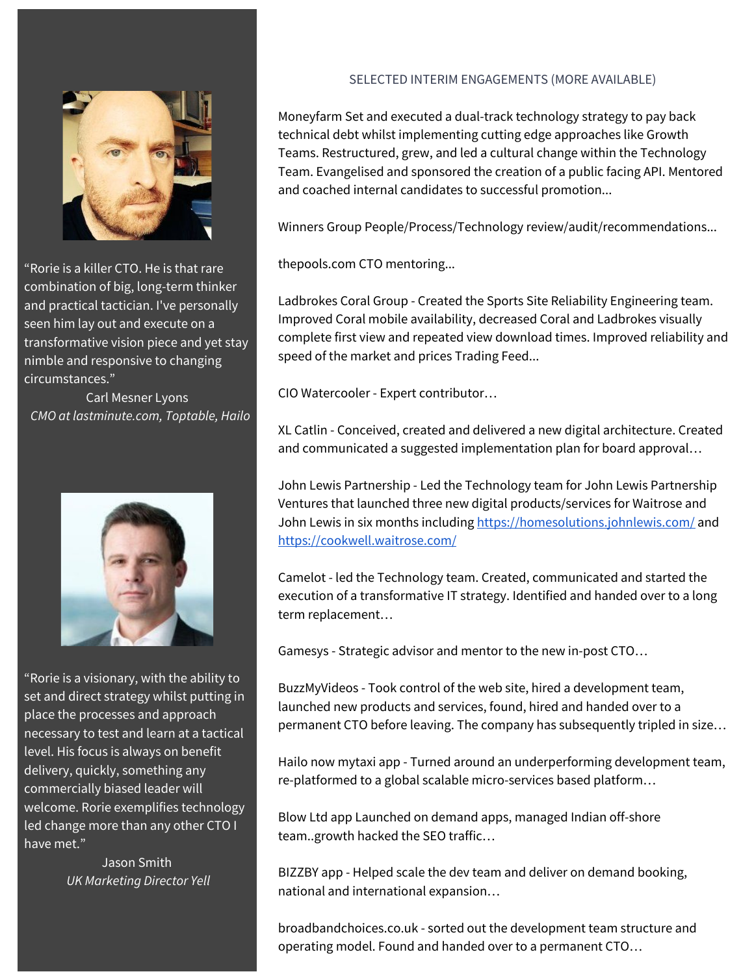

"Rorie is a killer CTO. He is that rare combination of big, long-term thinker and practical tactician. I've personally seen him lay out and execute on a transformative vision piece and yet stay nimble and responsive to changing circumstances."

Carl Mesner Lyons *CMO at lastminute.com, Toptable, Hailo*



"Rorie is a visionary, with the ability to set and direct strategy whilst putting in place the processes and approach necessary to test and learn at a tactical level. His focus is always on benefit delivery, quickly, something any commercially biased leader will welcome. Rorie exemplifies technology led change more than any other CTO I have met."

> Jason Smith *UK Marketing Director Yell*

#### SELECTED INTERIM ENGAGEMENTS (MORE AVAILABLE)

Moneyfarm Set and executed a dual-track technology strategy to pay back technical debt whilst implementing cutting edge approaches like Growth Teams. Restructured, grew, and led a cultural change within the Technology Team. Evangelised and sponsored the creation of a public facing API. Mentored and coached internal candidates to successful promotion...

Winners Group People/Process/Technology review/audit/recommendations...

thepools.com CTO mentoring...

Ladbrokes Coral Group - Created the Sports Site Reliability Engineering team. Improved Coral mobile availability, decreased Coral and Ladbrokes visually complete first view and repeated view download times. Improved reliability and speed of the market and prices Trading Feed...

CIO Watercooler - Expert contributor…

XL Catlin - Conceived, created and delivered a new digital architecture. Created and communicated a suggested implementation plan for board approval…

John Lewis Partnership - Led the Technology team for John Lewis Partnership Ventures that launched three new digital products/services for Waitrose and John Lewis in six months including <https://homesolutions.johnlewis.com/> and <https://cookwell.waitrose.com/>

Camelot - led the Technology team. Created, communicated and started the execution of a transformative IT strategy. Identified and handed over to a long term replacement…

Gamesys - Strategic advisor and mentor to the new in-post CTO…

BuzzMyVideos - Took control of the web site, hired a development team, launched new products and services, found, hired and handed over to a permanent CTO before leaving. The company has subsequently tripled in size…

Hailo now mytaxi app - Turned around an underperforming development team, re-platformed to a global scalable micro-services based platform…

Blow Ltd app Launched on demand apps, managed Indian off-shore team..growth hacked the SEO traffic…

BIZZBY app - Helped scale the dev team and deliver on demand booking, national and international expansion…

broadbandchoices.co.uk - sorted out the development team structure and operating model. Found and handed over to a permanent CTO…